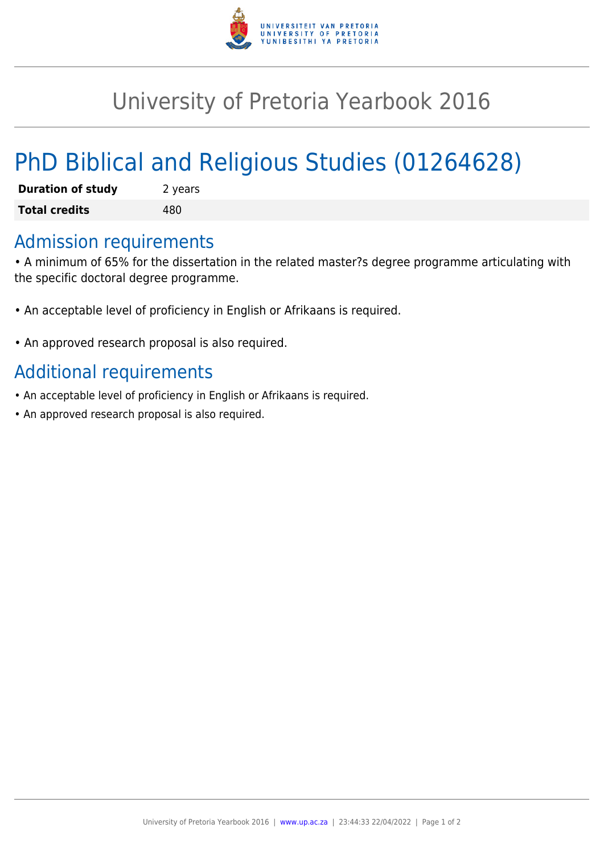

## University of Pretoria Yearbook 2016

# PhD Biblical and Religious Studies (01264628)

| <b>Duration of study</b> | 2 years |
|--------------------------|---------|
| <b>Total credits</b>     | 480     |

#### Admission requirements

• A minimum of 65% for the dissertation in the related master?s degree programme articulating with the specific doctoral degree programme.

- An acceptable level of proficiency in English or Afrikaans is required.
- An approved research proposal is also required.

### Additional requirements

- An acceptable level of proficiency in English or Afrikaans is required.
- An approved research proposal is also required.